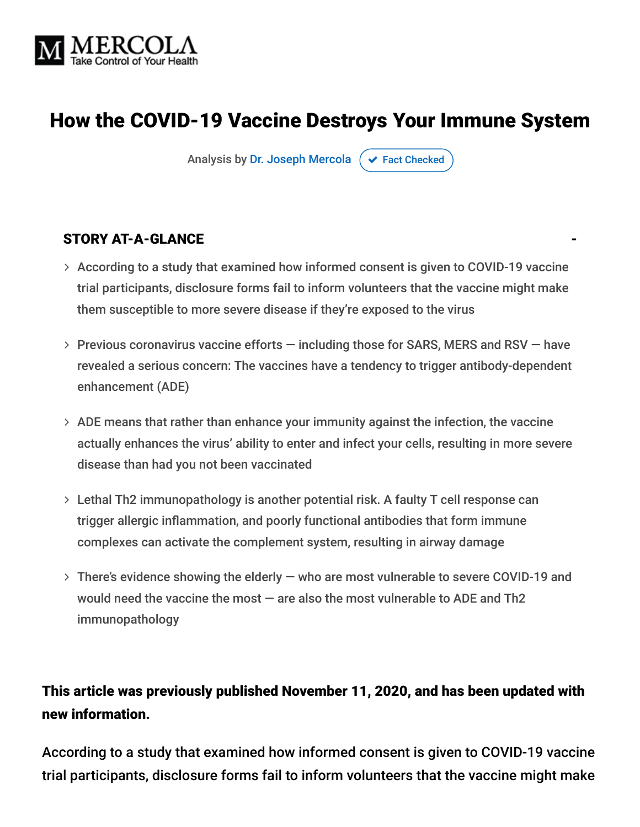

# How the COVID-19 Vaccine Destroys Your Immune System

Analysis by [Dr. Joseph Mercola](https://www.mercola.com/forms/background.htm)  $\sigma$  [Fact Checked](javascript:void(0))

#### STORY AT-A-GLANCE

- According to a study that examined how informed consent is given to COVID-19 vaccine trial participants, disclosure forms fail to inform volunteers that the vaccine might make them susceptible to more severe disease if they're exposed to the virus
- $>$  Previous coronavirus vaccine efforts  $-$  including those for SARS, MERS and RSV  $-$  have revealed a serious concern: The vaccines have a tendency to trigger antibody-dependent enhancement (ADE)
- ADE means that rather than enhance your immunity against the infection, the vaccine actually enhances the virus' ability to enter and infect your cells, resulting in more severe disease than had you not been vaccinated
- Lethal Th2 immunopathology is another potential risk. A faulty T cell response can trigger allergic inflammation, and poorly functional antibodies that form immune complexes can activate the complement system, resulting in airway damage
- There's evidence showing the elderly who are most vulnerable to severe COVID-19 and would need the vaccine the most — are also the most vulnerable to ADE and Th2 immunopathology

#### This article was previously published November 11, 2020, and has been updated with new information.

According to a study that examined how informed consent is given to COVID-19 vaccine trial participants, disclosure forms fail to inform volunteers that the vaccine might make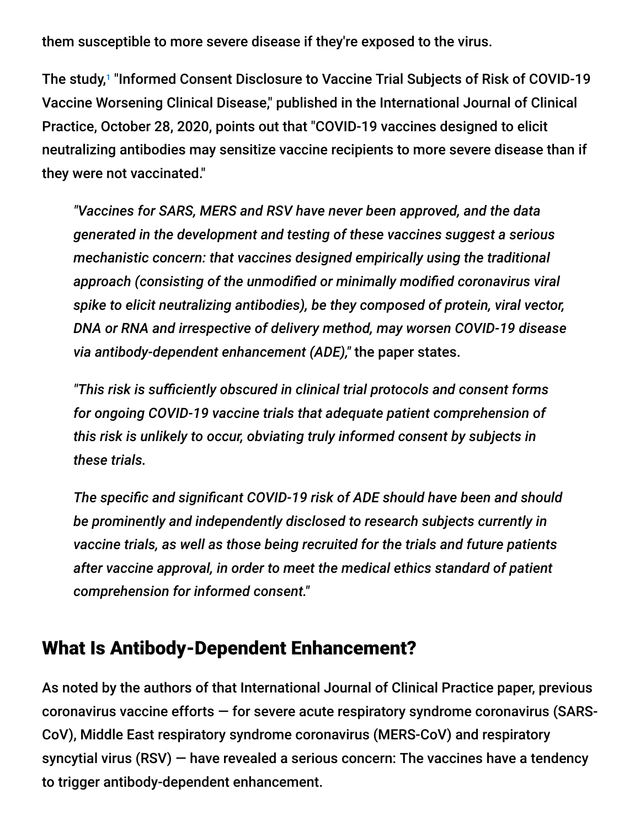them susceptible to more severe disease if they're exposed to the virus.

The study,<sup>1</sup> "Informed Consent Disclosure to Vaccine Trial Subjects of Risk of COVID-19 Vaccine Worsening Clinical Disease," published in the International Journal of Clinical Practice, October 28, 2020, points out that "COVID-19 vaccines designed to elicit neutralizing antibodies may sensitize vaccine recipients to more severe disease than if they were not vaccinated."

*"Vaccines for SARS, MERS and RSV have never been approved, and the data generated in the development and testing of these vaccines suggest a serious mechanistic concern: that vaccines designed empirically using the traditional approach (consisting of the unmodified or minimally modified coronavirus viral spike to elicit neutralizing antibodies), be they composed of protein, viral vector, DNA or RNA and irrespective of delivery method, may worsen COVID-19 disease via antibody-dependent enhancement (ADE),"* the paper states.

*"This risk is sufficiently obscured in clinical trial protocols and consent forms for ongoing COVID-19 vaccine trials that adequate patient comprehension of this risk is unlikely to occur, obviating truly informed consent by subjects in these trials.*

*The specific and significant COVID-19 risk of ADE should have been and should be prominently and independently disclosed to research subjects currently in vaccine trials, as well as those being recruited for the trials and future patients after vaccine approval, in order to meet the medical ethics standard of patient comprehension for informed consent."*

#### What Is Antibody-Dependent Enhancement?

As noted by the authors of that International Journal of Clinical Practice paper, previous coronavirus vaccine efforts — for severe acute respiratory syndrome coronavirus (SARS-CoV), Middle East respiratory syndrome coronavirus (MERS-CoV) and respiratory syncytial virus (RSV) — have revealed a serious concern: The vaccines have a tendency to trigger antibody-dependent enhancement.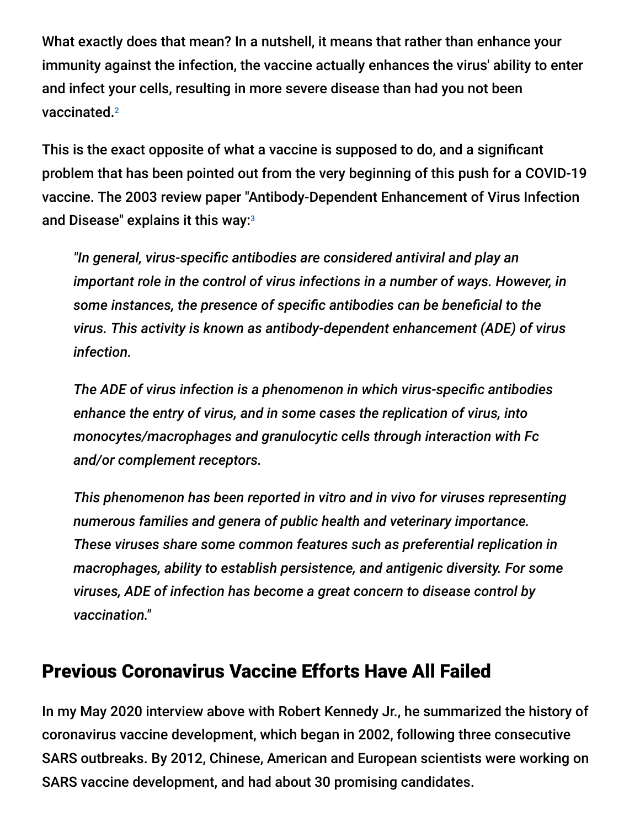What exactly does that mean? In a nutshell, it means that rather than enhance your immunity against the infection, the vaccine actually enhances the virus' ability to enter and infect your cells, resulting in more severe disease than had you not been vaccinated. 2

This is the exact opposite of what a vaccine is supposed to do, and a significant problem that has been pointed out from the very beginning of this push for a COVID-19 vaccine. The 2003 review paper "Antibody-Dependent Enhancement of Virus Infection and Disease" explains it this way: 3

*"In general, virus-specific antibodies are considered antiviral and play an important role in the control of virus infections in a number of ways. However, in some instances, the presence of specific antibodies can be beneficial to the virus. This activity is known as antibody-dependent enhancement (ADE) of virus infection.*

*The ADE of virus infection is a phenomenon in which virus-specific antibodies enhance the entry of virus, and in some cases the replication of virus, into monocytes/macrophages and granulocytic cells through interaction with Fc and/or complement receptors.*

*This phenomenon has been reported in vitro and in vivo for viruses representing numerous families and genera of public health and veterinary importance. These viruses share some common features such as preferential replication in macrophages, ability to establish persistence, and antigenic diversity. For some viruses, ADE of infection has become a great concern to disease control by vaccination."*

# Previous Coronavirus Vaccine Efforts Have All Failed

In my May 2020 interview above with Robert Kennedy Jr., he summarized the history of coronavirus vaccine development, which began in 2002, following three consecutive SARS outbreaks. By 2012, Chinese, American and European scientists were working on SARS vaccine development, and had about 30 promising candidates.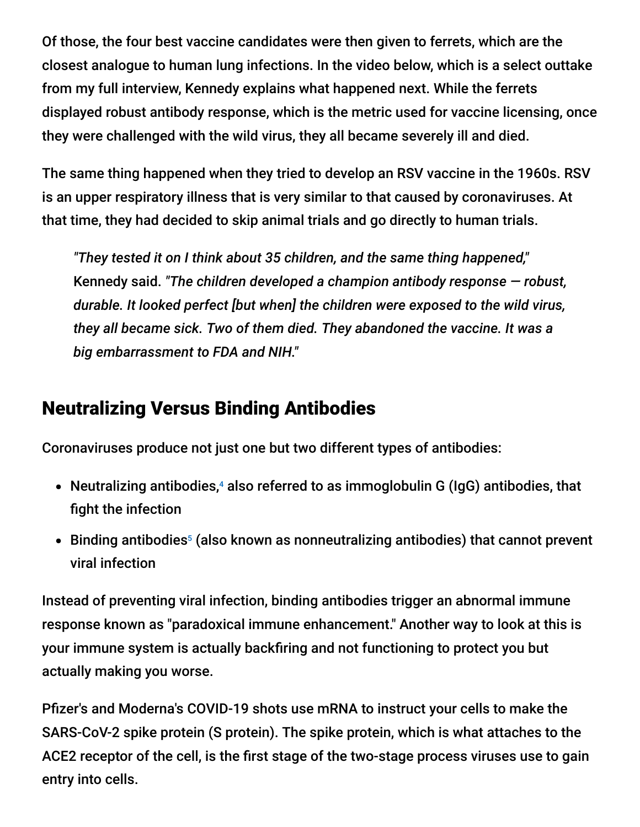Of those, the four best vaccine candidates were then given to ferrets, which are the closest analogue to human lung infections. In the video below, which is a select outtake from my full interview, Kennedy explains what happened next. While the ferrets displayed robust antibody response, which is the metric used for vaccine licensing, once they were challenged with the wild virus, they all became severely ill and died.

The same thing happened when they tried to develop an RSV vaccine in the 1960s. RSV is an upper respiratory illness that is very similar to that caused by coronaviruses. At that time, they had decided to skip animal trials and go directly to human trials.

*"They tested it on I think about 35 children, and the same thing happened,"* Kennedy said. *"The children developed a champion antibody response — robust, durable. It looked perfect [but when] the children were exposed to the wild virus, they all became sick. Two of them died. They abandoned the vaccine. It was a big embarrassment to FDA and NIH."*

# Neutralizing Versus Binding Antibodies

Coronaviruses produce not just one but two different types of antibodies:

- Neutralizing antibodies,<sup>4</sup> also referred to as immoglobulin G (IgG) antibodies, that fight the infection
- Binding antibodies<sup>5</sup> (also known as nonneutralizing antibodies) that cannot prevent viral infection

Instead of preventing viral infection, binding antibodies trigger an abnormal immune response known as "paradoxical immune enhancement." Another way to look at this is your immune system is actually backfiring and not functioning to protect you but actually making you worse.

Pfizer's and Moderna's COVID-19 shots use mRNA to instruct your cells to make the SARS-CoV-2 spike protein (S protein). The spike protein, which is what attaches to the ACE2 receptor of the cell, is the first stage of the two-stage process viruses use to gain entry into cells.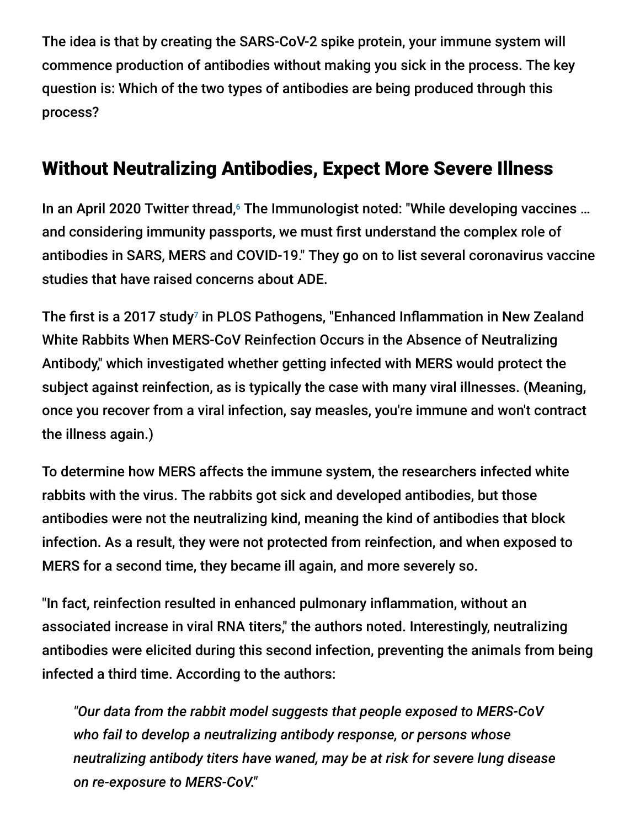The idea is that by creating the SARS-CoV-2 spike protein, your immune system will commence production of antibodies without making you sick in the process. The key question is: Which of the two types of antibodies are being produced through this process?

# Without Neutralizing Antibodies, Expect More Severe Illness

In an April 2020 Twitter thread, <sup>6</sup> The Immunologist noted: "While developing vaccines ... and considering immunity passports, we must first understand the complex role of antibodies in SARS, MERS and COVID-19." They go on to list several coronavirus vaccine studies that have raised concerns about ADE.

The first is a 2017 study<sup>7</sup> in PLOS Pathogens, "Enhanced Inflammation in New Zealand White Rabbits When MERS-CoV Reinfection Occurs in the Absence of Neutralizing Antibody," which investigated whether getting infected with MERS would protect the subject against reinfection, as is typically the case with many viral illnesses. (Meaning, once you recover from a viral infection, say measles, you're immune and won't contract the illness again.)

To determine how MERS affects the immune system, the researchers infected white rabbits with the virus. The rabbits got sick and developed antibodies, but those antibodies were not the neutralizing kind, meaning the kind of antibodies that block infection. As a result, they were not protected from reinfection, and when exposed to MERS for a second time, they became ill again, and more severely so.

"In fact, reinfection resulted in enhanced pulmonary inflammation, without an associated increase in viral RNA titers," the authors noted. Interestingly, neutralizing antibodies were elicited during this second infection, preventing the animals from being infected a third time. According to the authors:

*"Our data from the rabbit model suggests that people exposed to MERS-CoV who fail to develop a neutralizing antibody response, or persons whose neutralizing antibody titers have waned, may be at risk for severe lung disease on re-exposure to MERS-CoV."*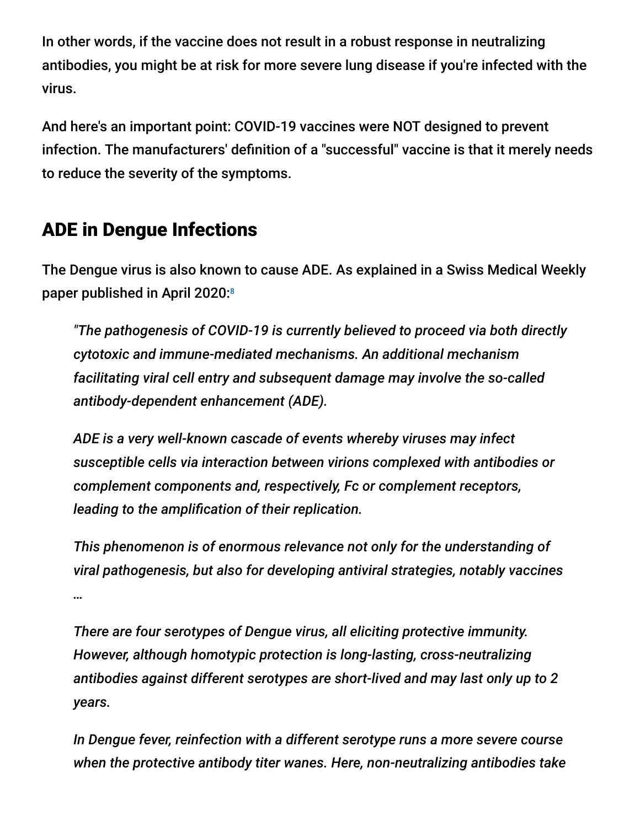In other words, if the vaccine does not result in a robust response in neutralizing antibodies, you might be at risk for more severe lung disease if you're infected with the virus.

And here's an important point: COVID-19 vaccines were NOT designed to prevent infection. The manufacturers' definition of a "successful" vaccine is that it merely needs to reduce the severity of the symptoms.

# ADE in Dengue Infections

The Dengue virus is also known to cause ADE. As explained in a Swiss Medical Weekly paper published in April 2020: 8

*"The pathogenesis of COVID-19 is currently believed to proceed via both directly cytotoxic and immune-mediated mechanisms. An additional mechanism facilitating viral cell entry and subsequent damage may involve the so-called antibody-dependent enhancement (ADE).*

*ADE is a very well-known cascade of events whereby viruses may infect susceptible cells via interaction between virions complexed with antibodies or complement components and, respectively, Fc or complement receptors, leading to the amplification of their replication.*

*This phenomenon is of enormous relevance not only for the understanding of viral pathogenesis, but also for developing antiviral strategies, notably vaccines …*

*There are four serotypes of Dengue virus, all eliciting protective immunity. However, although homotypic protection is long-lasting, cross-neutralizing antibodies against different serotypes are short-lived and may last only up to 2 years.*

*In Dengue fever, reinfection with a different serotype runs a more severe course when the protective antibody titer wanes. Here, non-neutralizing antibodies take*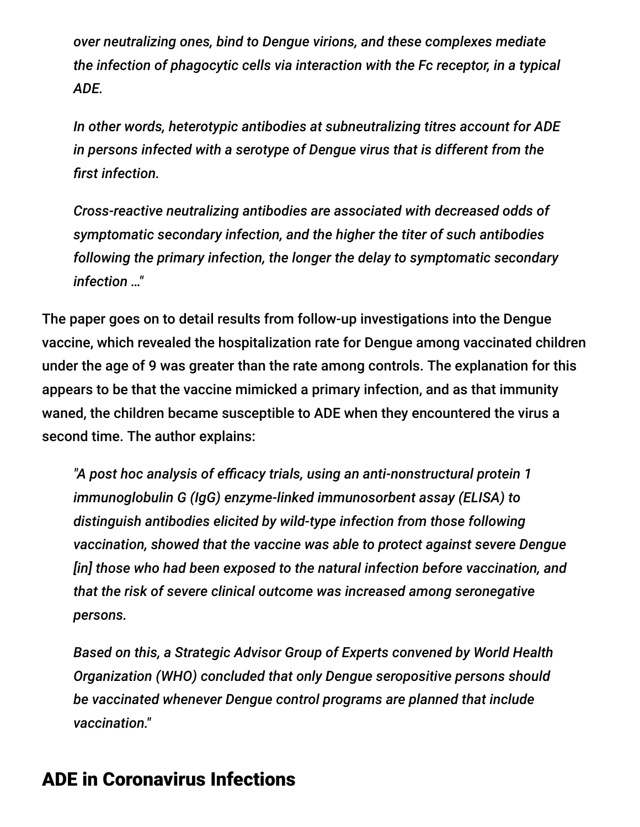*over neutralizing ones, bind to Dengue virions, and these complexes mediate the infection of phagocytic cells via interaction with the Fc receptor, in a typical ADE.*

*In other words, heterotypic antibodies at subneutralizing titres account for ADE in persons infected with a serotype of Dengue virus that is different from the first infection.*

*Cross-reactive neutralizing antibodies are associated with decreased odds of symptomatic secondary infection, and the higher the titer of such antibodies following the primary infection, the longer the delay to symptomatic secondary infection …"*

The paper goes on to detail results from follow-up investigations into the Dengue vaccine, which revealed the hospitalization rate for Dengue among vaccinated children under the age of 9 was greater than the rate among controls. The explanation for this appears to be that the vaccine mimicked a primary infection, and as that immunity waned, the children became susceptible to ADE when they encountered the virus a second time. The author explains:

*"A post hoc analysis of efficacy trials, using an anti-nonstructural protein 1 immunoglobulin G (IgG) enzyme-linked immunosorbent assay (ELISA) to distinguish antibodies elicited by wild-type infection from those following vaccination, showed that the vaccine was able to protect against severe Dengue [in] those who had been exposed to the natural infection before vaccination, and that the risk of severe clinical outcome was increased among seronegative persons.*

*Based on this, a Strategic Advisor Group of Experts convened by World Health Organization (WHO) concluded that only Dengue seropositive persons should be vaccinated whenever Dengue control programs are planned that include vaccination."*

## ADE in Coronavirus Infections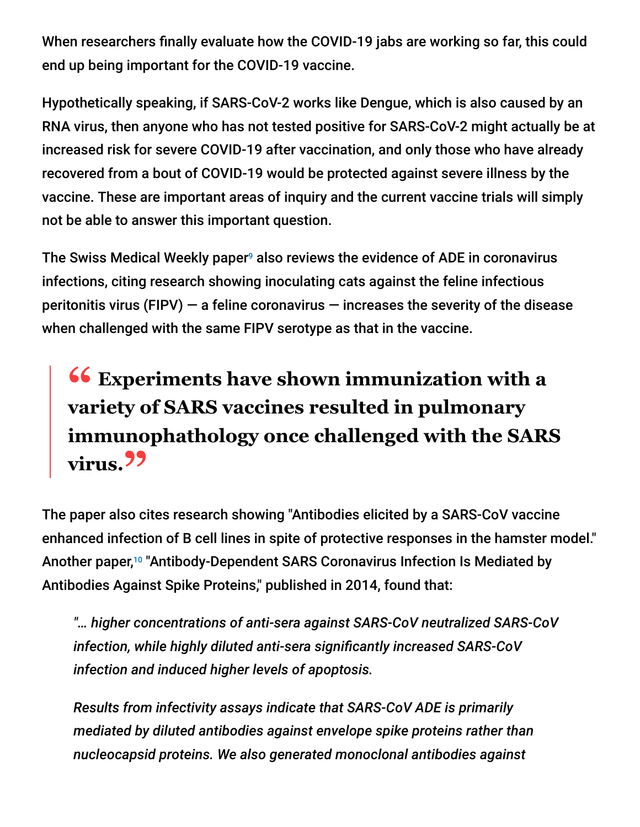When researchers finally evaluate how the COVID-19 jabs are working so far, this could end up being important for the COVID-19 vaccine.

Hypothetically speaking, if SARS-CoV-2 works like Dengue, which is also caused by an RNA virus, then anyone who has not tested positive for SARS-CoV-2 might actually be at increased risk for severe COVID-19 after vaccination, and only those who have already recovered from a bout of COVID-19 would be protected against severe illness by the vaccine. These are important areas of inquiry and the current vaccine trials will simply not be able to answer this important question.

The Swiss Medical Weekly paper $9$  also reviews the evidence of ADE in coronavirus infections, citing research showing inoculating cats against the feline infectious peritonitis virus (FIPV)  $-$  a feline coronavirus  $-$  increases the severity of the disease when challenged with the same FIPV serotype as that in the vaccine.

# **<sup>66</sup>** Experiments have shown immunization with a<br>variety of SARS vaccines resulted in pulmonary **variety of SARS vaccines resulted in pulmonary immunophathology once challenged with the SARS virus."**

The paper also cites research showing "Antibodies elicited by a SARS-CoV vaccine enhanced infection of B cell lines in spite of protective responses in the hamster model." Another paper,<sup>10</sup> "Antibody-Dependent SARS Coronavirus Infection Is Mediated by Antibodies Against Spike Proteins," published in 2014, found that:

*"… higher concentrations of anti-sera against SARS-CoV neutralized SARS-CoV infection, while highly diluted anti-sera significantly increased SARS-CoV infection and induced higher levels of apoptosis.*

*Results from infectivity assays indicate that SARS-CoV ADE is primarily mediated by diluted antibodies against envelope spike proteins rather than nucleocapsid proteins. We also generated monoclonal antibodies against*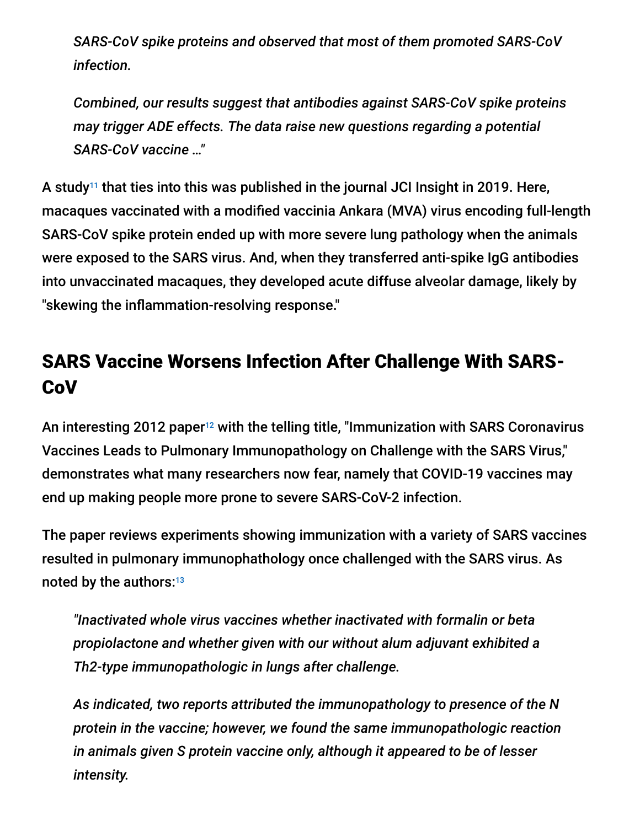*SARS-CoV spike proteins and observed that most of them promoted SARS-CoV infection.*

*Combined, our results suggest that antibodies against SARS-CoV spike proteins may trigger ADE effects. The data raise new questions regarding a potential SARS-CoV vaccine …"*

A study $11$  that ties into this was published in the journal JCI Insight in 2019. Here, macaques vaccinated with a modified vaccinia Ankara (MVA) virus encoding full-length SARS-CoV spike protein ended up with more severe lung pathology when the animals were exposed to the SARS virus. And, when they transferred anti-spike IgG antibodies into unvaccinated macaques, they developed acute diffuse alveolar damage, likely by "skewing the inflammation-resolving response."

# SARS Vaccine Worsens Infection After Challenge With SARS-**CoV**

An interesting 2012 paper<sup>12</sup> with the telling title, "Immunization with SARS Coronavirus Vaccines Leads to Pulmonary Immunopathology on Challenge with the SARS Virus," demonstrates what many researchers now fear, namely that COVID-19 vaccines may end up making people more prone to severe SARS-CoV-2 infection.

The paper reviews experiments showing immunization with a variety of SARS vaccines resulted in pulmonary immunophathology once challenged with the SARS virus. As noted by the authors: 13

*"Inactivated whole virus vaccines whether inactivated with formalin or beta propiolactone and whether given with our without alum adjuvant exhibited a Th2-type immunopathologic in lungs after challenge.*

*As indicated, two reports attributed the immunopathology to presence of the N protein in the vaccine; however, we found the same immunopathologic reaction in animals given S protein vaccine only, although it appeared to be of lesser intensity.*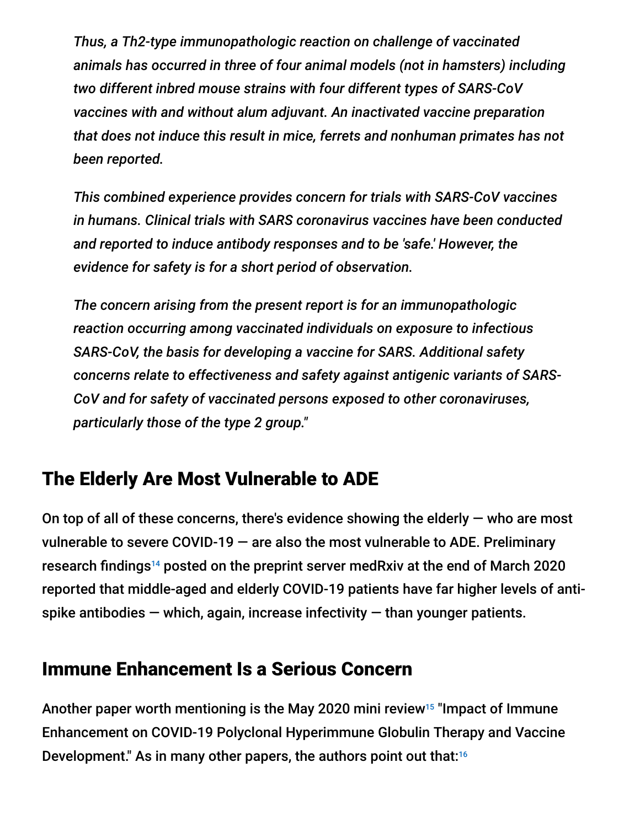*Thus, a Th2-type immunopathologic reaction on challenge of vaccinated animals has occurred in three of four animal models (not in hamsters) including two different inbred mouse strains with four different types of SARS-CoV vaccines with and without alum adjuvant. An inactivated vaccine preparation that does not induce this result in mice, ferrets and nonhuman primates has not been reported.*

*This combined experience provides concern for trials with SARS-CoV vaccines in humans. Clinical trials with SARS coronavirus vaccines have been conducted and reported to induce antibody responses and to be 'safe.' However, the evidence for safety is for a short period of observation.*

*The concern arising from the present report is for an immunopathologic reaction occurring among vaccinated individuals on exposure to infectious SARS-CoV, the basis for developing a vaccine for SARS. Additional safety concerns relate to effectiveness and safety against antigenic variants of SARS-CoV and for safety of vaccinated persons exposed to other coronaviruses, particularly those of the type 2 group."*

# The Elderly Are Most Vulnerable to ADE

On top of all of these concerns, there's evidence showing the elderly  $-$  who are most vulnerable to severe COVID-19 — are also the most vulnerable to ADE. Preliminary research findings<sup>14</sup> posted on the preprint server medRxiv at the end of March 2020 reported that middle-aged and elderly COVID-19 patients have far higher levels of antispike antibodies  $-$  which, again, increase infectivity  $-$  than younger patients.

# Immune Enhancement Is a Serious Concern

Another paper worth mentioning is the May 2020 mini review<sup>15</sup> "Impact of Immune Enhancement on COVID-19 Polyclonal Hyperimmune Globulin Therapy and Vaccine Development." As in many other papers, the authors point out that: 16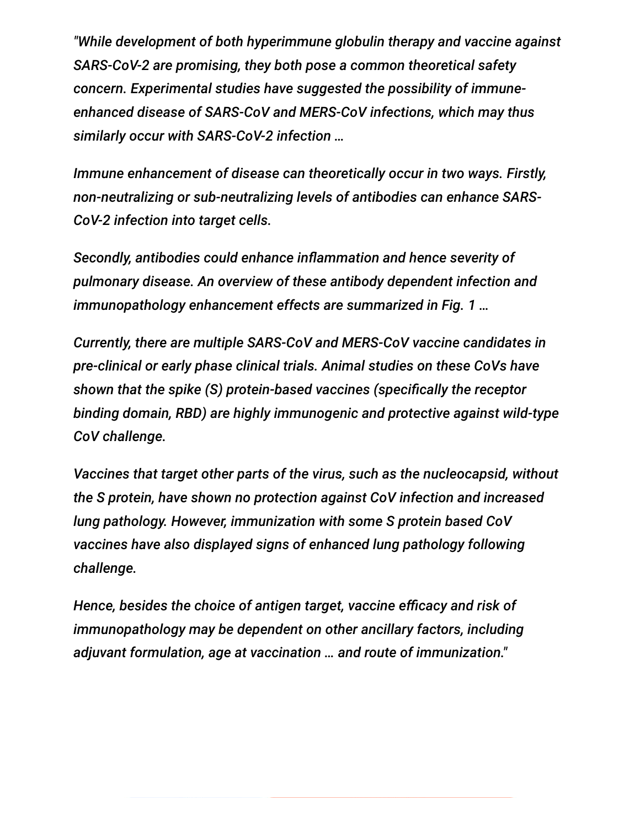*"While development of both hyperimmune globulin therapy and vaccine against SARS-CoV-2 are promising, they both pose a common theoretical safety concern. Experimental studies have suggested the possibility of immuneenhanced disease of SARS-CoV and MERS-CoV infections, which may thus similarly occur with SARS-CoV-2 infection …*

*Immune enhancement of disease can theoretically occur in two ways. Firstly, non-neutralizing or sub-neutralizing levels of antibodies can enhance SARS-CoV-2 infection into target cells.*

*Secondly, antibodies could enhance inflammation and hence severity of pulmonary disease. An overview of these antibody dependent infection and immunopathology enhancement effects are summarized in Fig. 1 …*

*Currently, there are multiple SARS-CoV and MERS-CoV vaccine candidates in pre-clinical or early phase clinical trials. Animal studies on these CoVs have shown that the spike (S) protein-based vaccines (specifically the receptor binding domain, RBD) are highly immunogenic and protective against wild-type CoV challenge.*

*Vaccines that target other parts of the virus, such as the nucleocapsid, without the S protein, have shown no protection against CoV infection and increased lung pathology. However, immunization with some S protein based CoV vaccines have also displayed signs of enhanced lung pathology following challenge.*

*Hence, besides the choice of antigen target, vaccine efficacy and risk of immunopathology may be dependent on other ancillary factors, including adjuvant formulation, age at vaccination … and route of immunization."*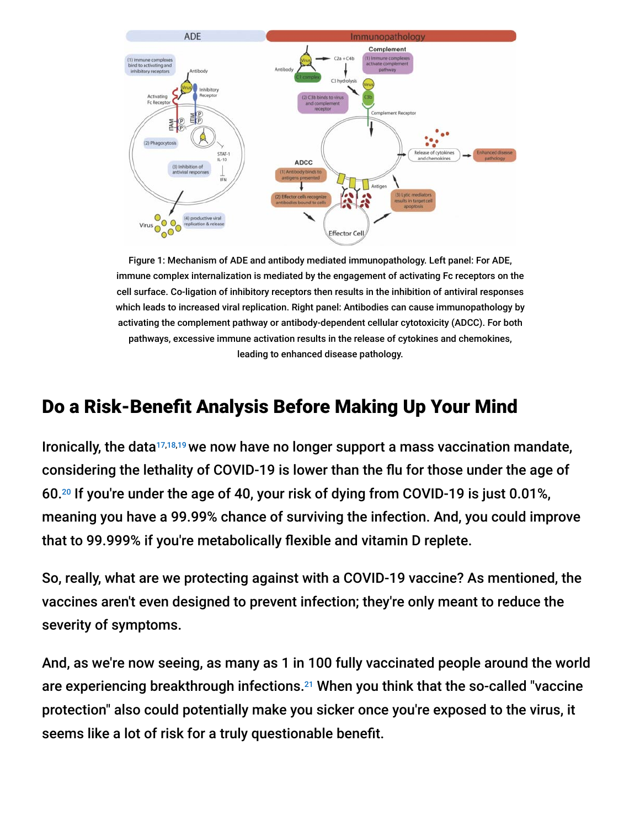

Figure 1: Mechanism of ADE and antibody mediated immunopathology. Left panel: For ADE, immune complex internalization is mediated by the engagement of activating Fc receptors on the cell surface. Co-ligation of inhibitory receptors then results in the inhibition of antiviral responses which leads to increased viral replication. Right panel: Antibodies can cause immunopathology by activating the complement pathway or antibody-dependent cellular cytotoxicity (ADCC). For both pathways, excessive immune activation results in the release of cytokines and chemokines, leading to enhanced disease pathology.

# Do a Risk-Benefit Analysis Before Making Up Your Mind

Ironically, the data<sup>17,18,19</sup> we now have no longer support a mass vaccination mandate, considering the lethality of COVID-19 is lower than the flu for those under the age of 60. $^{20}$  If you're under the age of 40, your risk of dying from COVID-19 is just 0.01%, meaning you have a 99.99% chance of surviving the infection. And, you could improve that to 99.999% if you're metabolically flexible and vitamin D replete.

So, really, what are we protecting against with a COVID-19 vaccine? As mentioned, the vaccines aren't even designed to prevent infection; they're only meant to reduce the severity of symptoms.

And, as we're now seeing, as many as 1 in 100 fully vaccinated people around the world are experiencing breakthrough infections.<sup>21</sup> When you think that the so-called "vaccine protection" also could potentially make you sicker once you're exposed to the virus, it seems like a lot of risk for a truly questionable benefit.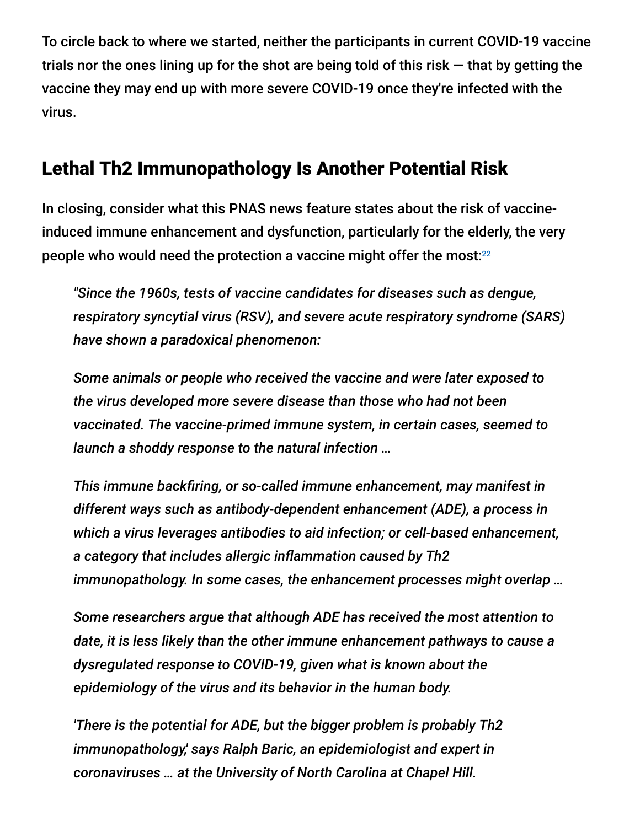To circle back to where we started, neither the participants in current COVID-19 vaccine trials nor the ones lining up for the shot are being told of this risk  $-$  that by getting the vaccine they may end up with more severe COVID-19 once they're infected with the virus.

## Lethal Th2 Immunopathology Is Another Potential Risk

In closing, consider what this PNAS news feature states about the risk of vaccineinduced immune enhancement and dysfunction, particularly for the elderly, the very people who would need the protection a vaccine might offer the most: $^{22}$ 

*"Since the 1960s, tests of vaccine candidates for diseases such as dengue, respiratory syncytial virus (RSV), and severe acute respiratory syndrome (SARS) have shown a paradoxical phenomenon:*

*Some animals or people who received the vaccine and were later exposed to the virus developed more severe disease than those who had not been vaccinated. The vaccine-primed immune system, in certain cases, seemed to launch a shoddy response to the natural infection …*

*This immune backfiring, or so-called immune enhancement, may manifest in different ways such as antibody-dependent enhancement (ADE), a process in which a virus leverages antibodies to aid infection; or cell-based enhancement, a category that includes allergic inflammation caused by Th2 immunopathology. In some cases, the enhancement processes might overlap …*

*Some researchers argue that although ADE has received the most attention to date, it is less likely than the other immune enhancement pathways to cause a dysregulated response to COVID-19, given what is known about the epidemiology of the virus and its behavior in the human body.*

*'There is the potential for ADE, but the bigger problem is probably Th2 immunopathology,' says Ralph Baric, an epidemiologist and expert in coronaviruses … at the University of North Carolina at Chapel Hill.*